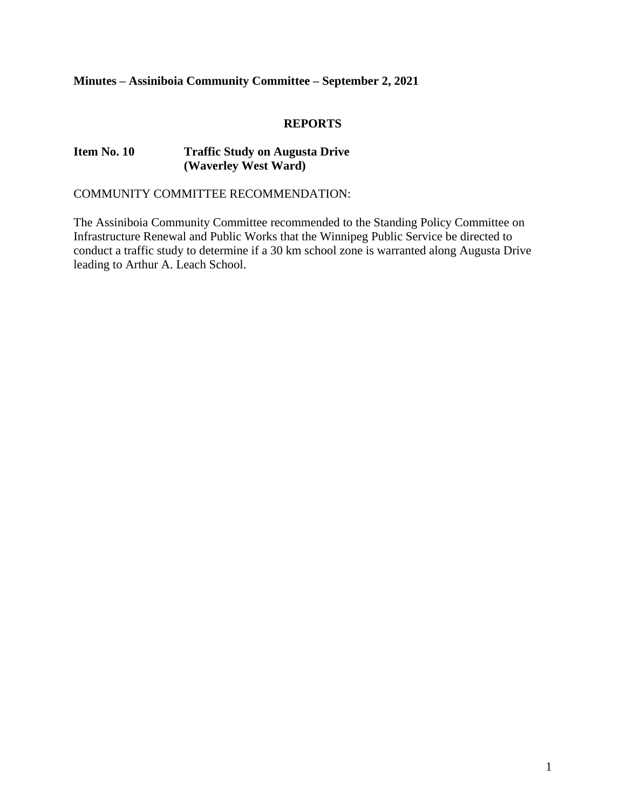# **Minutes – Assiniboia Community Committee – September 2, 2021**

#### **REPORTS**

#### **Item No. 10 Traffic Study on Augusta Drive (Waverley West Ward)**

COMMUNITY COMMITTEE RECOMMENDATION:

The Assiniboia Community Committee recommended to the Standing Policy Committee on Infrastructure Renewal and Public Works that the Winnipeg Public Service be directed to conduct a traffic study to determine if a 30 km school zone is warranted along Augusta Drive leading to Arthur A. Leach School.